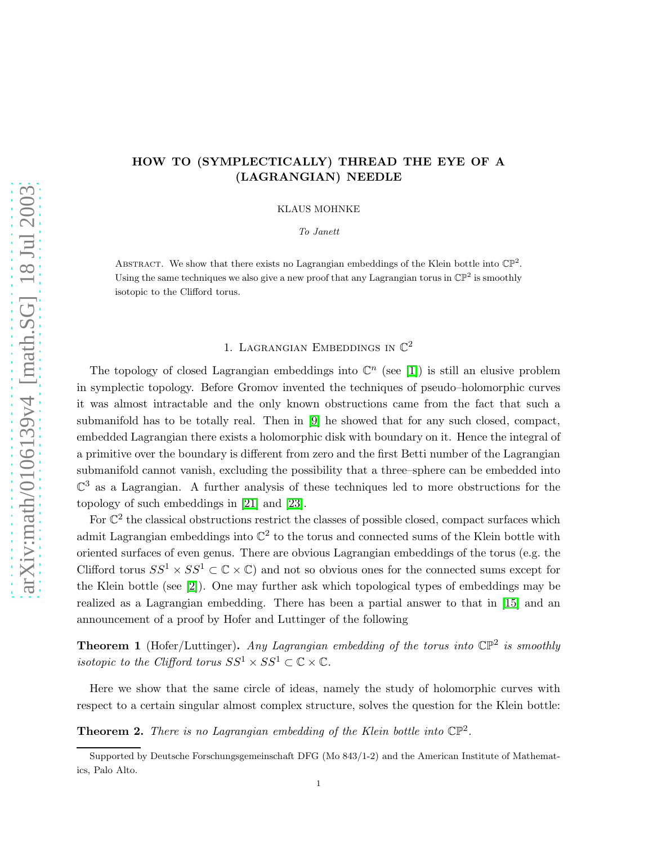## HOW TO (SYMPLECTICALLY) THREAD THE EYE OF A (LAGRANGIAN) NEEDLE

KLAUS MOHNKE

To Janett

ABSTRACT. We show that there exists no Lagrangian embeddings of the Klein bottle into  $\mathbb{CP}^2$ . Using the same techniques we also give a new proof that any Lagrangian torus in  $\mathbb{CP}^2$  is smoothly isotopic to the Clifford torus.

# 1. LAGRANGIAN EMBEDDINGS IN  $\mathbb{C}^2$

The topology of closed Lagrangian embeddings into  $\mathbb{C}^n$  (see [\[1\]](#page-13-0)) is still an elusive problem in symplectic topology. Before Gromov invented the techniques of pseudo–holomorphic curves it was almost intractable and the only known obstructions came from the fact that such a submanifold has to be totally real. Then in [\[9\]](#page-14-0) he showed that for any such closed, compact, embedded Lagrangian there exists a holomorphic disk with boundary on it. Hence the integral of a primitive over the boundary is different from zero and the first Betti number of the Lagrangian submanifold cannot vanish, excluding the possibility that a three–sphere can be embedded into  $\mathbb{C}^3$  as a Lagrangian. A further analysis of these techniques led to more obstructions for the topology of such embeddings in [\[21\]](#page-14-1) and [\[23\]](#page-14-2).

For  $\mathbb{C}^2$  the classical obstructions restrict the classes of possible closed, compact surfaces which admit Lagrangian embeddings into  $\mathbb{C}^2$  to the torus and connected sums of the Klein bottle with oriented surfaces of even genus. There are obvious Lagrangian embeddings of the torus (e.g. the Clifford torus  $SS^1 \times SS^1 \subset \mathbb{C} \times \mathbb{C}$  and not so obvious ones for the connected sums except for the Klein bottle (see [2]). One may further ask which topological types of embeddings may be realized as a Lagrangian embedding. There has been a partial answer to that in [\[15\]](#page-14-3) and an announcement of a proof by Hofer and Luttinger of the following

<span id="page-0-1"></span>**Theorem 1** (Hofer/Luttinger). Any Lagrangian embedding of the torus into  $\mathbb{CP}^2$  is smoothly isotopic to the Clifford torus  $SS^1 \times SS^1 \subset \mathbb{C} \times \mathbb{C}$ .

<span id="page-0-0"></span>Here we show that the same circle of ideas, namely the study of holomorphic curves with respect to a certain singular almost complex structure, solves the question for the Klein bottle:

**Theorem 2.** There is no Lagrangian embedding of the Klein bottle into  $\mathbb{CP}^2$ .

Supported by Deutsche Forschungsgemeinschaft DFG (Mo 843/1-2) and the American Institute of Mathematics, Palo Alto.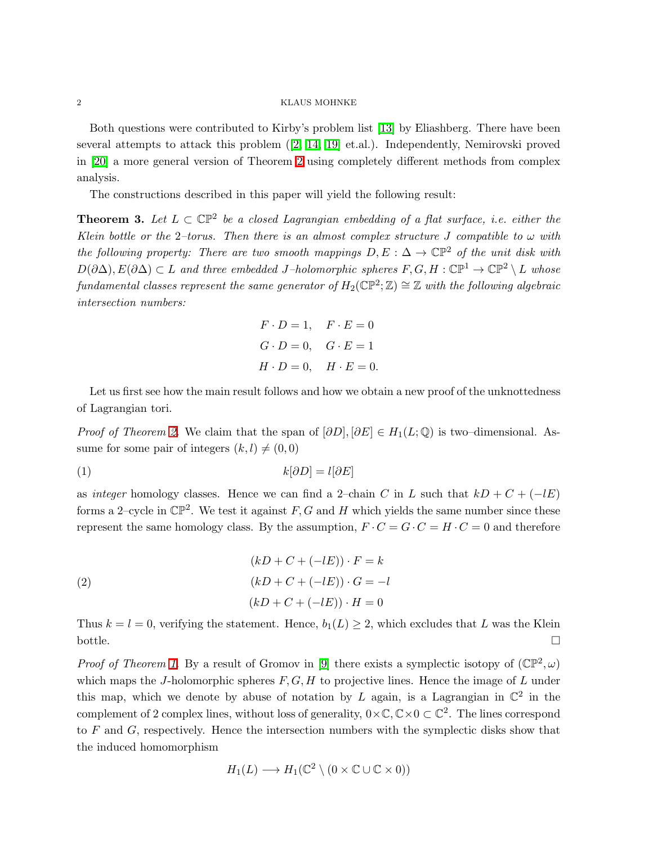Both questions were contributed to Kirby's problem list [\[13\]](#page-14-4) by Eliashberg. There have been several attempts to attack this problem ([2, [14,](#page-14-5) [19\]](#page-14-6) et.al.). Independently, Nemirovski proved in [\[20\]](#page-14-7) a more general version of Theorem [2](#page-0-0) using completely different methods from complex analysis.

The constructions described in this paper will yield the following result:

<span id="page-1-0"></span>**Theorem 3.** Let  $L \subset \mathbb{CP}^2$  be a closed Lagrangian embedding of a flat surface, i.e. either the Klein bottle or the 2-torus. Then there is an almost complex structure J compatible to  $\omega$  with the following property: There are two smooth mappings  $D, E : \Delta \to \mathbb{CP}^2$  of the unit disk with  $D(\partial \Delta), E(\partial \Delta) \subset L$  and three embedded J–holomorphic spheres  $F, G, H : \mathbb{CP}^1 \to \mathbb{CP}^2 \setminus L$  whose  $\emph{fundamental classes represent the same generator of } H_2(\mathbb{CP}^2; \mathbb{Z}) \cong \mathbb{Z}$  with the following algebraic intersection numbers:

$$
F \cdot D = 1, \quad F \cdot E = 0
$$
  

$$
G \cdot D = 0, \quad G \cdot E = 1
$$
  

$$
H \cdot D = 0, \quad H \cdot E = 0.
$$

Let us first see how the main result follows and how we obtain a new proof of the unknottedness of Lagrangian tori.

*Proof of Theorem [2.](#page-0-0)* We claim that the span of  $[\partial D], [\partial E] \in H_1(L; \mathbb{Q})$  is two–dimensional. Assume for some pair of integers  $(k, l) \neq (0, 0)$ 

(1)  $k[\partial D] = l[\partial E]$ 

as integer homology classes. Hence we can find a 2–chain C in L such that  $kD + C + (-lE)$ forms a 2-cycle in  $\mathbb{CP}^2$ . We test it against F, G and H which yields the same number since these represent the same homology class. By the assumption,  $F \cdot C = G \cdot C = H \cdot C = 0$  and therefore

(2)  
\n
$$
(kD + C + (-lE)) \cdot F = k
$$
\n
$$
(kD + C + (-lE)) \cdot G = -l
$$
\n
$$
(kD + C + (-lE)) \cdot H = 0
$$

Thus  $k = l = 0$ , verifying the statement. Hence,  $b_1(L) \geq 2$ , which excludes that L was the Klein bottle.  $\Box$ 

*Proof of Theorem [1.](#page-0-1)* By a result of Gromov in [\[9\]](#page-14-0) there exists a symplectic isotopy of  $(\mathbb{CP}^2, \omega)$ which maps the J-holomorphic spheres  $F, G, H$  to projective lines. Hence the image of L under this map, which we denote by abuse of notation by L again, is a Lagrangian in  $\mathbb{C}^2$  in the complement of 2 complex lines, without loss of generality,  $0 \times \mathbb{C}, \mathbb{C} \times 0 \subset \mathbb{C}^2$ . The lines correspond to  $F$  and  $G$ , respectively. Hence the intersection numbers with the symplectic disks show that the induced homomorphism

$$
H_1(L) \longrightarrow H_1(\mathbb{C}^2 \setminus (0 \times \mathbb{C} \cup \mathbb{C} \times 0))
$$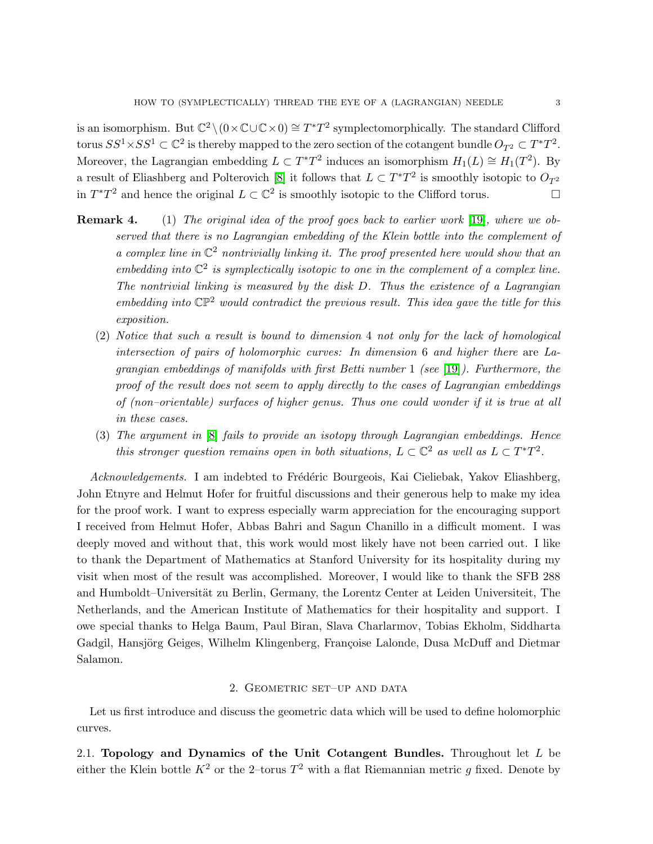is an isomorphism. But  $\mathbb{C}^2 \setminus (0 \times \mathbb{C} \cup \mathbb{C} \times 0) \cong T^*T^2$  symplectomorphically. The standard Clifford torus  $SS^1 \times SS^1 \subset \mathbb{C}^2$  is thereby mapped to the zero section of the cotangent bundle  $O_{T^2} \subset T^*T^2$ . Moreover, the Lagrangian embedding  $L \subset T^*T^2$  induces an isomorphism  $H_1(L) \cong H_1(T^2)$ . By a result of Eliashberg and Polterovich [8] it follows that  $L \subset T^*T^2$  is smoothly isotopic to  $O_{T^2}$ in  $T^*T^2$  and hence the original  $L \subset \mathbb{C}^2$  is smoothly isotopic to the Clifford torus.

- **Remark 4.** (1) The original idea of the proof goes back to earlier work [\[19\]](#page-14-6), where we observed that there is no Lagrangian embedding of the Klein bottle into the complement of a complex line in  $\mathbb{C}^2$  nontrivially linking it. The proof presented here would show that an embedding into  $\mathbb{C}^2$  is symplectically isotopic to one in the complement of a complex line. The nontrivial linking is measured by the disk D. Thus the existence of a Lagrangian embedding into  $\mathbb{CP}^2$  would contradict the previous result. This idea gave the title for this exposition.
	- (2) Notice that such a result is bound to dimension 4 not only for the lack of homological intersection of pairs of holomorphic curves: In dimension 6 and higher there are Lagrangian embeddings of manifolds with first Betti number 1 (see [\[19\]](#page-14-6)). Furthermore, the proof of the result does not seem to apply directly to the cases of Lagrangian embeddings of (non–orientable) surfaces of higher genus. Thus one could wonder if it is true at all in these cases.
	- (3) The argument in [8] fails to provide an isotopy through Lagrangian embeddings. Hence this stronger question remains open in both situations,  $L \subset \mathbb{C}^2$  as well as  $L \subset T^*T^2$ .

Acknowledgements. I am indebted to Frédéric Bourgeois, Kai Cieliebak, Yakov Eliashberg, John Etnyre and Helmut Hofer for fruitful discussions and their generous help to make my idea for the proof work. I want to express especially warm appreciation for the encouraging support I received from Helmut Hofer, Abbas Bahri and Sagun Chanillo in a difficult moment. I was deeply moved and without that, this work would most likely have not been carried out. I like to thank the Department of Mathematics at Stanford University for its hospitality during my visit when most of the result was accomplished. Moreover, I would like to thank the SFB 288 and Humboldt–Universität zu Berlin, Germany, the Lorentz Center at Leiden Universiteit, The Netherlands, and the American Institute of Mathematics for their hospitality and support. I owe special thanks to Helga Baum, Paul Biran, Slava Charlarmov, Tobias Ekholm, Siddharta Gadgil, Hansjörg Geiges, Wilhelm Klingenberg, Françoise Lalonde, Dusa McDuff and Dietmar Salamon.

## 2. Geometric set–up and data

Let us first introduce and discuss the geometric data which will be used to define holomorphic curves.

2.1. Topology and Dynamics of the Unit Cotangent Bundles. Throughout let  $L$  be either the Klein bottle  $K^2$  or the 2-torus  $T^2$  with a flat Riemannian metric g fixed. Denote by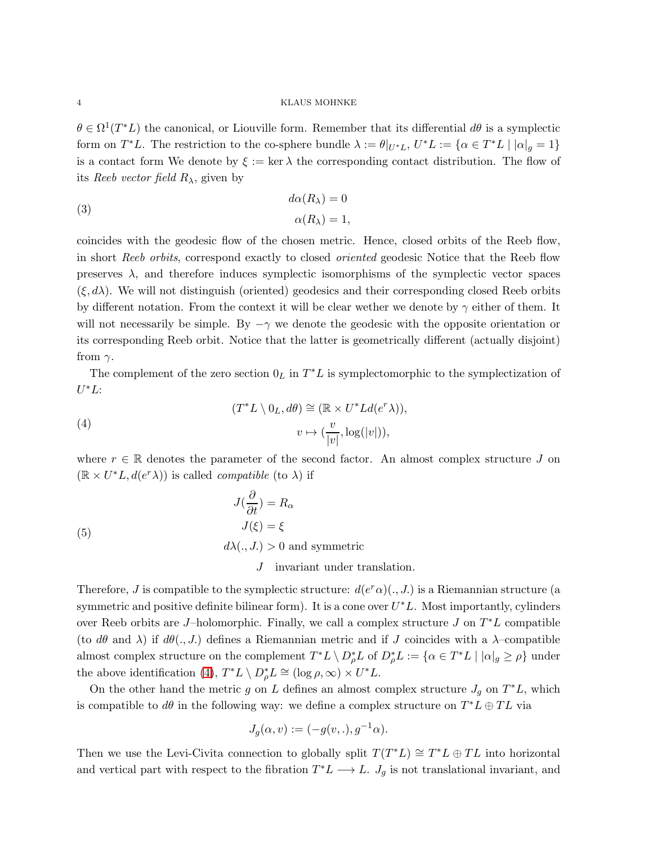$\theta \in \Omega^1(T^*L)$  the canonical, or Liouville form. Remember that its differential  $d\theta$  is a symplectic form on  $T^*L$ . The restriction to the co-sphere bundle  $\lambda := \theta|_{U^*L}$ ,  $U^*L := {\alpha \in T^*L \mid |\alpha|_g = 1}$ is a contact form We denote by  $\xi := \ker \lambda$  the corresponding contact distribution. The flow of its Reeb vector field  $R_{\lambda}$ , given by

(3) 
$$
d\alpha(R_{\lambda}) = 0
$$

$$
\alpha(R_{\lambda}) = 1.
$$

coincides with the geodesic flow of the chosen metric. Hence, closed orbits of the Reeb flow, in short Reeb orbits, correspond exactly to closed oriented geodesic Notice that the Reeb flow preserves  $\lambda$ , and therefore induces symplectic isomorphisms of the symplectic vector spaces  $(\xi, d\lambda)$ . We will not distinguish (oriented) geodesics and their corresponding closed Reeb orbits by different notation. From the context it will be clear wether we denote by  $\gamma$  either of them. It will not necessarily be simple. By  $-\gamma$  we denote the geodesic with the opposite orientation or its corresponding Reeb orbit. Notice that the latter is geometrically different (actually disjoint) from  $\gamma$ .

<span id="page-3-0"></span>The complement of the zero section  $0_L$  in  $T^*L$  is symplectomorphic to the symplectization of  $U^*L$ 

(4) 
$$
(T^*L \setminus 0_L, d\theta) \cong (\mathbb{R} \times U^*Ld(e^r\lambda)),
$$

$$
v \mapsto (\frac{v}{|v|}, \log(|v|)),
$$

where  $r \in \mathbb{R}$  denotes the parameter of the second factor. An almost complex structure J on  $(\mathbb{R} \times U^*L, d(e^r \lambda))$  is called *compatible* (to  $\lambda$ ) if

(5)  
\n
$$
J(\frac{\partial}{\partial t}) = R_{\alpha}
$$
\n
$$
J(\xi) = \xi
$$
\n
$$
d\lambda(., J.) > 0 \text{ and symmetric}
$$

J invariant under translation.

Therefore, J is compatible to the symplectic structure:  $d(e^r\alpha)(., J.)$  is a Riemannian structure (a symmetric and positive definite bilinear form). It is a cone over  $U^*L$ . Most importantly, cylinders over Reeb orbits are J–holomorphic. Finally, we call a complex structure  $J$  on  $T^*L$  compatible (to  $d\theta$  and  $\lambda$ ) if  $d\theta(., J.)$  defines a Riemannian metric and if J coincides with a  $\lambda$ -compatible almost complex structure on the complement  $T^*L \setminus D^*_{\rho}L$  of  $D^*_{\rho}L := \{ \alpha \in T^*L \mid |\alpha|_g \ge \rho \}$  under the above identification [\(4\)](#page-3-0),  $T^*L \setminus D_\rho^*L \cong (\log \rho, \infty) \times U^*L$ .

On the other hand the metric g on L defines an almost complex structure  $J_g$  on  $T^*L$ , which is compatible to  $d\theta$  in the following way: we define a complex structure on  $T^*L \oplus TL$  via

$$
J_g(\alpha, v) := (-g(v, .), g^{-1}\alpha).
$$

Then we use the Levi-Civita connection to globally split  $T(T^*L) \cong T^*L \oplus TL$  into horizontal and vertical part with respect to the fibration  $T^*L \longrightarrow L$ .  $J_g$  is not translational invariant, and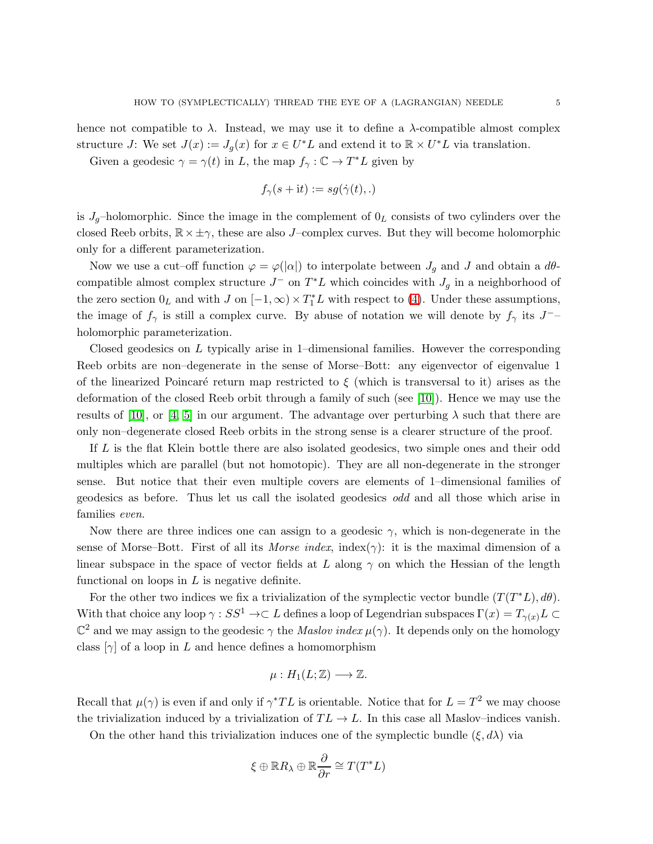Given a geodesic  $\gamma = \gamma(t)$  in L, the map  $f_{\gamma}: \mathbb{C} \to T^*L$  given by

$$
f_{\gamma}(s+{\rm i}t):=sg(\dot{\gamma}(t),.)
$$

is  $J_g$ -holomorphic. Since the image in the complement of  $0_L$  consists of two cylinders over the closed Reeb orbits,  $\mathbb{R} \times \pm \gamma$ , these are also J–complex curves. But they will become holomorphic only for a different parameterization.

Now we use a cut–off function  $\varphi = \varphi(|\alpha|)$  to interpolate between  $J_g$  and J and obtain a  $d\theta$ compatible almost complex structure  $J^-$  on  $T^*L$  which coincides with  $J_g$  in a neighborhood of the zero section  $0_L$  and with  $J$  on  $[-1,\infty) \times T_1^*L$  with respect to [\(4\)](#page-3-0). Under these assumptions, the image of  $f_{\gamma}$  is still a complex curve. By abuse of notation we will denote by  $f_{\gamma}$  its  $J^{-}$ holomorphic parameterization.

Closed geodesics on L typically arise in 1–dimensional families. However the corresponding Reeb orbits are non–degenerate in the sense of Morse–Bott: any eigenvector of eigenvalue 1 of the linearized Poincaré return map restricted to  $\xi$  (which is transversal to it) arises as the deformation of the closed Reeb orbit through a family of such (see [10]). Hence we may use the results of [10], or [\[4,](#page-13-1) 5] in our argument. The advantage over perturbing  $\lambda$  such that there are only non–degenerate closed Reeb orbits in the strong sense is a clearer structure of the proof.

If L is the flat Klein bottle there are also isolated geodesics, two simple ones and their odd multiples which are parallel (but not homotopic). They are all non-degenerate in the stronger sense. But notice that their even multiple covers are elements of 1–dimensional families of geodesics as before. Thus let us call the isolated geodesics odd and all those which arise in families even.

Now there are three indices one can assign to a geodesic  $\gamma$ , which is non-degenerate in the sense of Morse–Bott. First of all its Morse index, index( $\gamma$ ): it is the maximal dimension of a linear subspace in the space of vector fields at L along  $\gamma$  on which the Hessian of the length functional on loops in  $L$  is negative definite.

For the other two indices we fix a trivialization of the symplectic vector bundle  $(T(T^*L), d\theta)$ . With that choice any loop  $\gamma : SS^1 \to \mathbb{C} L$  defines a loop of Legendrian subspaces  $\Gamma(x) = T_{\gamma(x)} L \subset$  $\mathbb{C}^2$  and we may assign to the geodesic  $\gamma$  the *Maslov index*  $\mu(\gamma)$ . It depends only on the homology class  $[\gamma]$  of a loop in L and hence defines a homomorphism

$$
\mu: H_1(L; \mathbb{Z}) \longrightarrow \mathbb{Z}.
$$

Recall that  $\mu(\gamma)$  is even if and only if  $\gamma^*TL$  is orientable. Notice that for  $L = T^2$  we may choose the trivialization induced by a trivialization of  $TL \rightarrow L$ . In this case all Maslov–indices vanish.

On the other hand this trivialization induces one of the symplectic bundle  $(\xi, d\lambda)$  via

$$
\xi \oplus \mathbb{R}R_{\lambda} \oplus \mathbb{R} \frac{\partial}{\partial r} \cong T(T^*L)
$$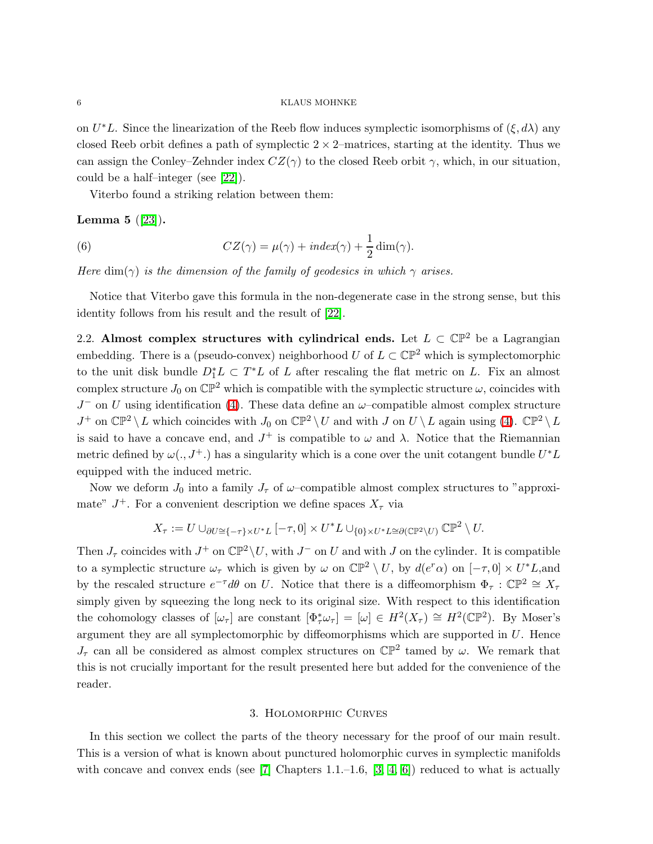on  $U^*L$ . Since the linearization of the Reeb flow induces symplectic isomorphisms of  $(\xi, d\lambda)$  any closed Reeb orbit defines a path of symplectic  $2 \times 2$ -matrices, starting at the identity. Thus we can assign the Conley–Zehnder index  $CZ(\gamma)$  to the closed Reeb orbit  $\gamma$ , which, in our situation, could be a half–integer (see [22]).

Viterbo found a striking relation between them:

<span id="page-5-0"></span>**Lemma 5**  $([23])$  $([23])$  $([23])$ .

(6) 
$$
CZ(\gamma) = \mu(\gamma) + index(\gamma) + \frac{1}{2}dim(\gamma).
$$

Here dim( $\gamma$ ) is the dimension of the family of geodesics in which  $\gamma$  arises.

Notice that Viterbo gave this formula in the non-degenerate case in the strong sense, but this identity follows from his result and the result of [22].

2.2. Almost complex structures with cylindrical ends. Let  $L \subset \mathbb{CP}^2$  be a Lagrangian embedding. There is a (pseudo-convex) neighborhood U of  $L \subset \mathbb{CP}^2$  which is symplectomorphic to the unit disk bundle  $D_1^*L \subset T^*L$  of L after rescaling the flat metric on L. Fix an almost complex structure  $J_0$  on  $\mathbb{CP}^2$  which is compatible with the symplectic structure  $\omega$ , coincides with  $J^-$  on U using identification [\(4\)](#page-3-0). These data define an  $\omega$ -compatible almost complex structure  $J^+$  on  $\mathbb{CP}^2 \setminus L$  which coincides with  $J_0$  on  $\mathbb{CP}^2 \setminus U$  and with  $J$  on  $U \setminus L$  again using [\(4\)](#page-3-0).  $\mathbb{CP}^2 \setminus L$ is said to have a concave end, and  $J^+$  is compatible to  $\omega$  and  $\lambda$ . Notice that the Riemannian metric defined by  $\omega(., J^+.)$  has a singularity which is a cone over the unit cotangent bundle  $U^*L$ equipped with the induced metric.

Now we deform  $J_0$  into a family  $J_{\tau}$  of  $\omega$ -compatible almost complex structures to "approximate"  $J^+$ . For a convenient description we define spaces  $X_{\tau}$  via

$$
X_{\tau} := U \cup_{\partial U \cong \{-\tau\} \times U^*L} [-\tau, 0] \times U^*L \cup_{\{0\} \times U^*L \cong \partial (\mathbb{CP}^2 \setminus U)} \mathbb{CP}^2 \setminus U.
$$

Then  $J_{\tau}$  coincides with  $J^{+}$  on  $\mathbb{CP}^{2}\backslash U$ , with  $J^{-}$  on U and with J on the cylinder. It is compatible to a symplectic structure  $\omega_{\tau}$  which is given by  $\omega$  on  $\mathbb{CP}^2 \setminus U$ , by  $d(e^r \alpha)$  on  $[-\tau, 0] \times U^*L$ , and by the rescaled structure  $e^{-\tau}d\theta$  on U. Notice that there is a diffeomorphism  $\Phi_{\tau} : \mathbb{CP}^2 \cong X_{\tau}$ simply given by squeezing the long neck to its original size. With respect to this identification the cohomology classes of  $[\omega_\tau]$  are constant  $[\Phi_\tau^*\omega_\tau] = [\omega] \in H^2(X_\tau) \cong H^2(\mathbb{CP}^2)$ . By Moser's argument they are all symplectomorphic by diffeomorphisms which are supported in U. Hence  $J_{\tau}$  can all be considered as almost complex structures on  $\mathbb{CP}^2$  tamed by  $\omega$ . We remark that this is not crucially important for the result presented here but added for the convenience of the reader.

#### 3. Holomorphic Curves

In this section we collect the parts of the theory necessary for the proof of our main result. This is a version of what is known about punctured holomorphic curves in symplectic manifolds with concave and convex ends (see [\[7\]](#page-14-8) Chapters 1.1.–1.6, [\[3,](#page-13-2) [4,](#page-13-1) 6]) reduced to what is actually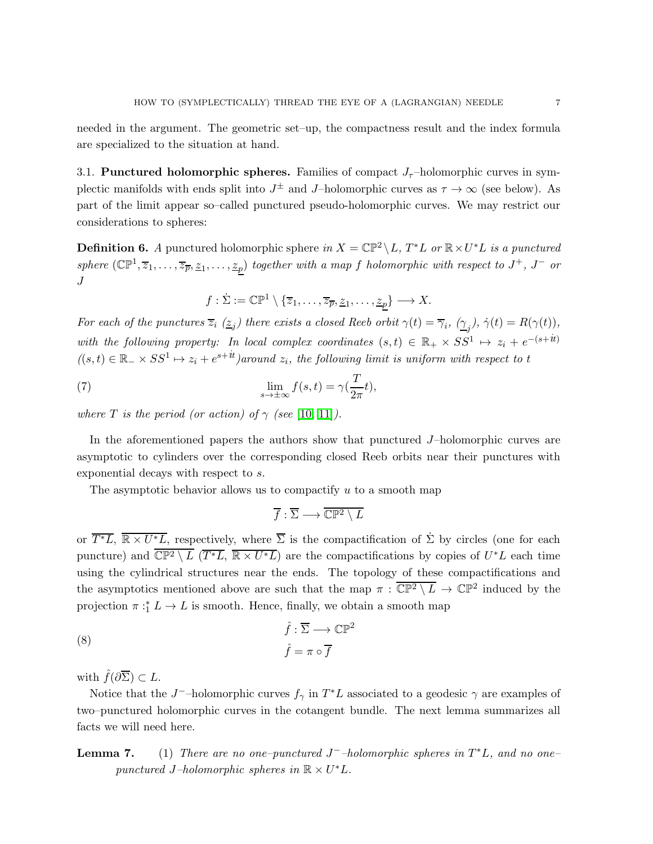needed in the argument. The geometric set–up, the compactness result and the index formula are specialized to the situation at hand.

3.1. Punctured holomorphic spheres. Families of compact  $J_{\tau}$ -holomorphic curves in symplectic manifolds with ends split into  $J^{\pm}$  and J-holomorphic curves as  $\tau \to \infty$  (see below). As part of the limit appear so–called punctured pseudo-holomorphic curves. We may restrict our considerations to spheres:

**Definition 6.** A punctured holomorphic sphere in  $X = \mathbb{CP}^2 \setminus L$ ,  $T^*L$  or  $\mathbb{R} \times U^*L$  is a punctured sphere  $(\mathbb{CP}^1, \overline{z}_1, \ldots, \overline{z}_{\overline{p}}, \underline{z}_1, \ldots, \underline{z}_p)$  together with a map f holomorphic with respect to  $J^+$ ,  $J^-$  or  $\boldsymbol{J}$ 

 $f: \dot{\Sigma} := \mathbb{CP}^1 \setminus \{ \overline{z}_1, \ldots, \overline{z}_{\overline{p}}, \underline{z}_1, \ldots, \underline{z}_p \} \longrightarrow X.$ 

For each of the punctures  $\overline{z}_i$  ( $\underline{z}_j$ ) there exists a closed Reeb orbit  $\gamma(t) = \overline{\gamma}_i$ ,  $(\underline{\gamma}_j)$ ,  $\dot{\gamma}(t) = R(\gamma(t))$ , with the following property: In local complex coordinates  $(s,t) \in \mathbb{R}_+ \times S S^1 \mapsto z_i + e^{-(s+it)}$  $((s,t) \in \mathbb{R}^n \times SS^1 \mapsto z_i + e^{s+it})$ around  $z_i$ , the following limit is uniform with respect to t

(7) 
$$
\lim_{s \to \pm \infty} f(s, t) = \gamma(\frac{T}{2\pi}t),
$$

where T is the period (or action) of  $\gamma$  (see [10, 11]).

In the aforementioned papers the authors show that punctured J–holomorphic curves are asymptotic to cylinders over the corresponding closed Reeb orbits near their punctures with exponential decays with respect to s.

The asymptotic behavior allows us to compactify  $u$  to a smooth map

$$
\overline{f}:\overline{\Sigma}\longrightarrow \overline{\mathbb{CP}^{2}\setminus L}
$$

or  $\overline{T^*L}$ ,  $\overline{\mathbb{R} \times U^*L}$ , respectively, where  $\overline{\Sigma}$  is the compactification of  $\dot{\Sigma}$  by circles (one for each puncture) and  $\overline{\mathbb{CP}^2 \setminus L}$   $(\overline{T^*L}, \overline{\mathbb{R} \times U^*L})$  are the compactifications by copies of  $U^*L$  each time using the cylindrical structures near the ends. The topology of these compactifications and the asymptotics mentioned above are such that the map  $\pi : \overline{\mathbb{CP}^2 \setminus L} \to \mathbb{CP}^2$  induced by the projection  $\pi : L \to L$  is smooth. Hence, finally, we obtain a smooth map

(8) 
$$
\hat{f} : \overline{\Sigma} \longrightarrow \mathbb{CP}^2
$$

$$
\hat{f} = \pi \circ \overline{f}
$$

with  $\hat{f}(\partial \overline{\Sigma}) \subset L$ .

<span id="page-6-0"></span>Notice that the J<sup>-</sup>-holomorphic curves  $f_{\gamma}$  in  $T^*L$  associated to a geodesic  $\gamma$  are examples of two–punctured holomorphic curves in the cotangent bundle. The next lemma summarizes all facts we will need here.

**Lemma 7.** (1) There are no one-punctured  $J^-$ -holomorphic spheres in  $T^*L$ , and no onepunctured J-holomorphic spheres in  $\mathbb{R} \times U^*L$ .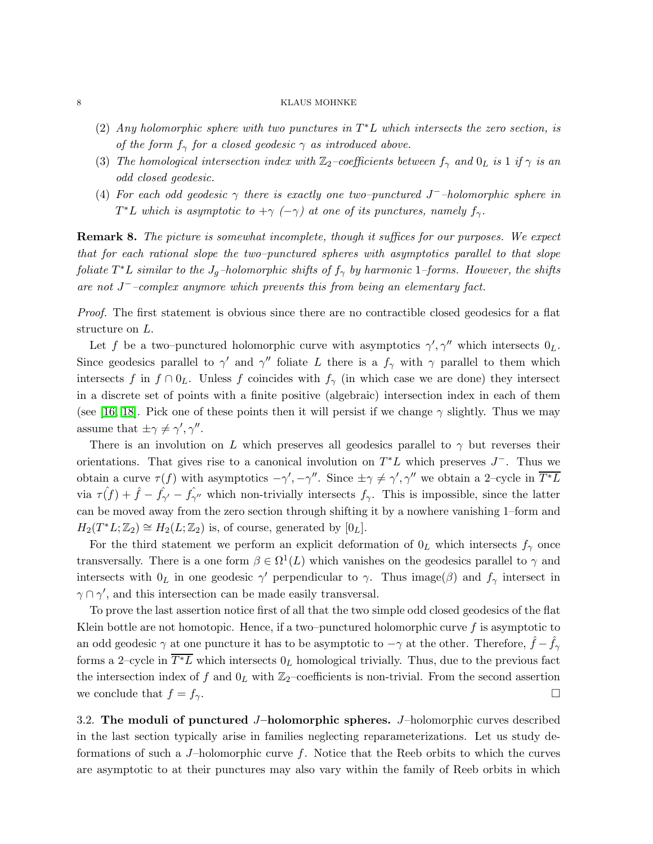- (2) Any holomorphic sphere with two punctures in  $T^*L$  which intersects the zero section, is of the form  $f_{\gamma}$  for a closed geodesic  $\gamma$  as introduced above.
- (3) The homological intersection index with  $\mathbb{Z}_2$ -coefficients between  $f_\gamma$  and  $0_L$  is 1 if  $\gamma$  is an odd closed geodesic.
- (4) For each odd geodesic  $\gamma$  there is exactly one two–punctured J<sup>-</sup>-holomorphic sphere in  $T^*L$  which is asymptotic to  $+\gamma$  ( $-\gamma$ ) at one of its punctures, namely  $f_{\gamma}$ .

**Remark 8.** The picture is somewhat incomplete, though it suffices for our purposes. We expect that for each rational slope the two–punctured spheres with asymptotics parallel to that slope foliate  $T^*L$  similar to the  $J_g$ -holomorphic shifts of  $f_\gamma$  by harmonic 1-forms. However, the shifts are not  $J^-$ -complex anymore which prevents this from being an elementary fact.

Proof. The first statement is obvious since there are no contractible closed geodesics for a flat structure on L.

Let f be a two–punctured holomorphic curve with asymptotics  $\gamma', \gamma''$  which intersects  $0_L$ . Since geodesics parallel to  $\gamma'$  and  $\gamma''$  foliate L there is a  $f_{\gamma}$  with  $\gamma$  parallel to them which intersects f in  $f \cap 0_L$ . Unless f coincides with  $f_\gamma$  (in which case we are done) they intersect in a discrete set of points with a finite positive (algebraic) intersection index in each of them (see [\[16,](#page-14-9) 18]. Pick one of these points then it will persist if we change  $\gamma$  slightly. Thus we may assume that  $\pm \gamma \neq \gamma', \gamma''.$ 

There is an involution on L which preserves all geodesics parallel to  $\gamma$  but reverses their orientations. That gives rise to a canonical involution on  $T^*L$  which preserves  $J^-$ . Thus we obtain a curve  $\tau(f)$  with asymptotics  $-\gamma', -\gamma''$ . Since  $\pm \gamma \neq \gamma', \gamma''$  we obtain a 2-cycle in  $\overline{T^*L}$ via  $\tau(f) + \hat{f} - \hat{f}_{\gamma'} - \hat{f}_{\gamma''}$  which non-trivially intersects  $f_{\gamma}$ . This is impossible, since the latter can be moved away from the zero section through shifting it by a nowhere vanishing 1–form and  $H_2(T^*L; \mathbb{Z}_2) \cong H_2(L; \mathbb{Z}_2)$  is, of course, generated by  $[0_L]$ .

For the third statement we perform an explicit deformation of  $0<sub>L</sub>$  which intersects  $f<sub>\gamma</sub>$  once transversally. There is a one form  $\beta \in \Omega^1(L)$  which vanishes on the geodesics parallel to  $\gamma$  and intersects with  $0_L$  in one geodesic  $\gamma'$  perpendicular to  $\gamma$ . Thus image( $\beta$ ) and  $f_{\gamma}$  intersect in  $\gamma \cap \gamma'$ , and this intersection can be made easily transversal.

To prove the last assertion notice first of all that the two simple odd closed geodesics of the flat Klein bottle are not homotopic. Hence, if a two–punctured holomorphic curve  $f$  is asymptotic to an odd geodesic  $\gamma$  at one puncture it has to be asymptotic to  $-\gamma$  at the other. Therefore,  $\hat{f} - \hat{f}_{\gamma}$ forms a 2–cycle in  $\overline{T^*L}$  which intersects  $0_L$  homological trivially. Thus, due to the previous fact the intersection index of f and  $0<sub>L</sub>$  with  $\mathbb{Z}_2$ -coefficients is non-trivial. From the second assertion we conclude that  $f = f_{\gamma}$ .

3.2. The moduli of punctured  $J$ –holomorphic spheres.  $J$ –holomorphic curves described in the last section typically arise in families neglecting reparameterizations. Let us study deformations of such a  $J$ –holomorphic curve f. Notice that the Reeb orbits to which the curves are asymptotic to at their punctures may also vary within the family of Reeb orbits in which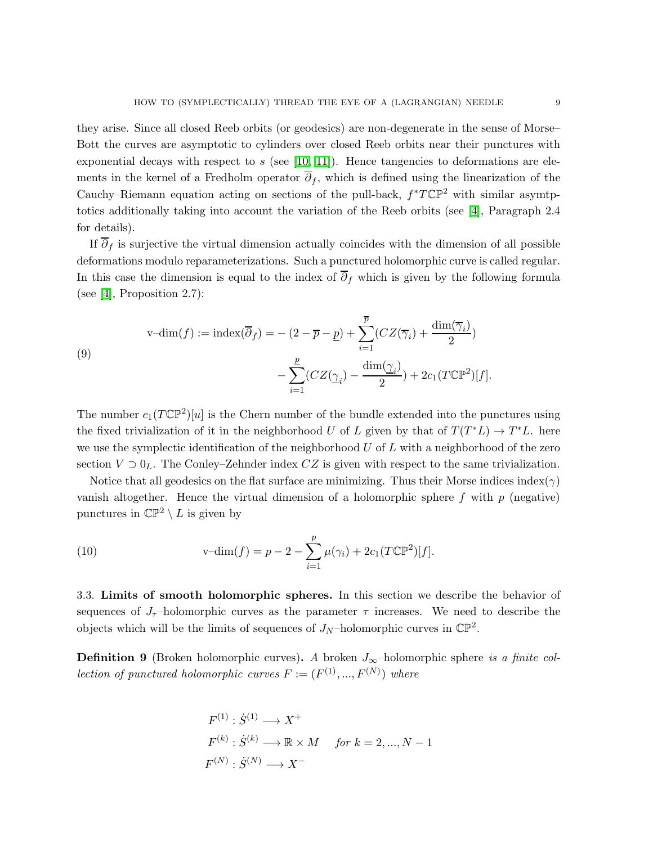they arise. Since all closed Reeb orbits (or geodesics) are non-degenerate in the sense of Morse– Bott the curves are asymptotic to cylinders over closed Reeb orbits near their punctures with exponential decays with respect to s (see [10, 11]). Hence tangencies to deformations are elements in the kernel of a Fredholm operator  $\overline{\partial}_f$ , which is defined using the linearization of the Cauchy–Riemann equation acting on sections of the pull-back,  $f^*T\mathbb{CP}^2$  with similar asymtptotics additionally taking into account the variation of the Reeb orbits (see [\[4\]](#page-13-1), Paragraph 2.4 for details).

If  $\overline{\partial}_f$  is surjective the virtual dimension actually coincides with the dimension of all possible deformations modulo reparameterizations. Such a punctured holomorphic curve is called regular. In this case the dimension is equal to the index of  $\overline{\partial}_f$  which is given by the following formula (see [\[4\]](#page-13-1), Proposition 2.7):

(9)  

$$
\text{v-dim}(f) := \text{index}(\overline{\partial}_f) = -(2 - \overline{p} - \underline{p}) + \sum_{i=1}^{\overline{p}} (CZ(\overline{\gamma}_i) + \frac{\dim(\overline{\gamma}_i)}{2}) - \sum_{i=1}^{\underline{p}} (CZ(\underline{\gamma}_i) - \frac{\dim(\underline{\gamma}_i)}{2}) + 2c_1(T\mathbb{CP}^2)[f].
$$

The number  $c_1(T\mathbb{CP}^2)[u]$  is the Chern number of the bundle extended into the punctures using the fixed trivialization of it in the neighborhood U of L given by that of  $T(T^*L) \to T^*L$ . here we use the symplectic identification of the neighborhood  $U$  of  $L$  with a neighborhood of the zero section  $V \supset 0_L$ . The Conley–Zehnder index CZ is given with respect to the same trivialization.

<span id="page-8-0"></span>Notice that all geodesics on the flat surface are minimizing. Thus their Morse indices index( $\gamma$ ) vanish altogether. Hence the virtual dimension of a holomorphic sphere  $f$  with  $p$  (negative) punctures in  $\mathbb{CP}^2 \setminus L$  is given by

(10) 
$$
v\text{-dim}(f) = p - 2 - \sum_{i=1}^{p} \mu(\gamma_i) + 2c_1(T\mathbb{CP}^2)[f].
$$

3.3. Limits of smooth holomorphic spheres. In this section we describe the behavior of sequences of  $J_{\tau}$ -holomorphic curves as the parameter  $\tau$  increases. We need to describe the objects which will be the limits of sequences of  $J_N$ -holomorphic curves in  $\mathbb{CP}^2$ .

**Definition 9** (Broken holomorphic curves). A broken  $J_{\infty}$ –holomorphic sphere is a finite col*lection of punctured holomorphic curves*  $F := (F^{(1)}, ..., F^{(N)})$  where

$$
F^{(1)} : \dot{S}^{(1)} \longrightarrow X^+
$$
  

$$
F^{(k)} : \dot{S}^{(k)} \longrightarrow \mathbb{R} \times M \quad \text{for } k = 2, ..., N - 1
$$
  

$$
F^{(N)} : \dot{S}^{(N)} \longrightarrow X^-
$$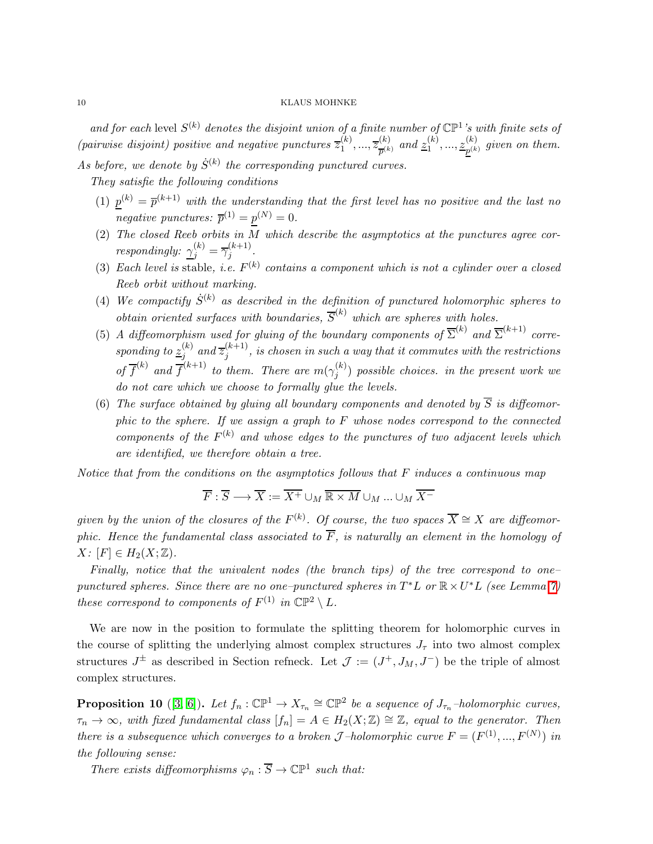and for each level  $S^{(k)}$  denotes the disjoint union of a finite number of  $\mathbb{CP}^1$ 's with finite sets of (pairwise disjoint) positive and negative punctures  $\overline{z}_1^{(k)}$  $\overline{z}_{1}^{(k)},...,\overline{z}_{\overline{n}^{(k)}}^{(k)}$  $\frac{\left( k\right) }{p^{\left( k\right) }}$  and  $\frac{\left( k\right) }{21}$  $\binom{k}{1},...,\underbrace{z_{p^{(k)}}^{(k)}}$  $p^{(k)}_{p^{(k)}}$  given on them. As before, we denote by  $\dot{S}^{(k)}$  the corresponding punctured curves.

They satisfie the following conditions

- (1)  $p^{(k)} = \overline{p}^{(k+1)}$  with the understanding that the first level has no positive and the last no negative punctures:  $\overline{p}^{(1)} = p^{(N)} = 0$ .
- (2) The closed Reeb orbits in M which describe the asymptotics at the punctures agree correspondingly:  $\gamma_j^{(k)} = \overline{\gamma}_j^{(k+1)}$  $j^{(\kappa+1)}$ .
- (3) Each level is stable, i.e.  $F^{(k)}$  contains a component which is not a cylinder over a closed Reeb orbit without marking.
- (4) We compactify  $\dot{S}^{(k)}$  as described in the definition of punctured holomorphic spheres to obtain oriented surfaces with boundaries,  $\overline{S}^{(k)}$  which are spheres with holes.
- (5) A diffeomorphism used for gluing of the boundary components of  $\overline{\Sigma}^{(k)}$  and  $\overline{\Sigma}^{(k+1)}$  corresponding to  $\underline{z}_i^{(k)}$  $j^{(k)}$  and  $\overline{z}_j^{(k+1)}$  $j_j^{(k+1)}$ , is chosen in such a way that it commutes with the restrictions of  $\overline{f}^{(k)}$  and  $\overline{f}^{(k+1)}$  to them. There are  $m(\gamma_i^{(k)})$  $j^{(\kappa)}_j$  possible choices. in the present work we do not care which we choose to formally glue the levels.
- (6) The surface obtained by gluing all boundary components and denoted by  $\overline{S}$  is diffeomorphic to the sphere. If we assign a graph to  $F$  whose nodes correspond to the connected components of the  $F^{(k)}$  and whose edges to the punctures of two adjacent levels which are identified, we therefore obtain a tree.

Notice that from the conditions on the asymptotics follows that  $F$  induces a continuous map

$$
\overline{F} : \overline{S} \longrightarrow \overline{X} := \overline{X^{+}} \cup_{M} \overline{\mathbb{R} \times M} \cup_{M} ... \cup_{M} \overline{X^{-}}
$$

given by the union of the closures of the  $F^{(k)}$ . Of course, the two spaces  $\overline{X} \cong X$  are diffeomorphic. Hence the fundamental class associated to  $\overline{F}$ , is naturally an element in the homology of  $X: [F] \in H_2(X; \mathbb{Z}).$ 

Finally, notice that the univalent nodes (the branch tips) of the tree correspond to one– punctured spheres. Since there are no one-punctured spheres in  $T^*L$  or  $\mathbb{R} \times U^*L$  (see Lemma [7\)](#page-6-0) these correspond to components of  $F^{(1)}$  in  $\mathbb{CP}^2 \setminus L$ .

We are now in the position to formulate the splitting theorem for holomorphic curves in the course of splitting the underlying almost complex structures  $J_{\tau}$  into two almost complex structures  $J^{\pm}$  as described in Section refneck. Let  $\mathcal{J} := (J^+, J_M, J^-)$  be the triple of almost complex structures.

<span id="page-9-0"></span>**Proposition 10** ([\[3,](#page-13-2) 6]). Let  $f_n : \mathbb{CP}^1 \to X_{\tau_n} \cong \mathbb{CP}^2$  be a sequence of  $J_{\tau_n}$ -holomorphic curves,  $\tau_n \to \infty$ , with fixed fundamental class  $[f_n] = A \in H_2(X;\mathbb{Z}) \cong \mathbb{Z}$ , equal to the generator. Then there is a subsequence which converges to a broken J-holomorphic curve  $F = (F^{(1)}, ..., F^{(N)})$  in the following sense:

There exists diffeomorphisms  $\varphi_n : \overline{S} \to \mathbb{CP}^1$  such that: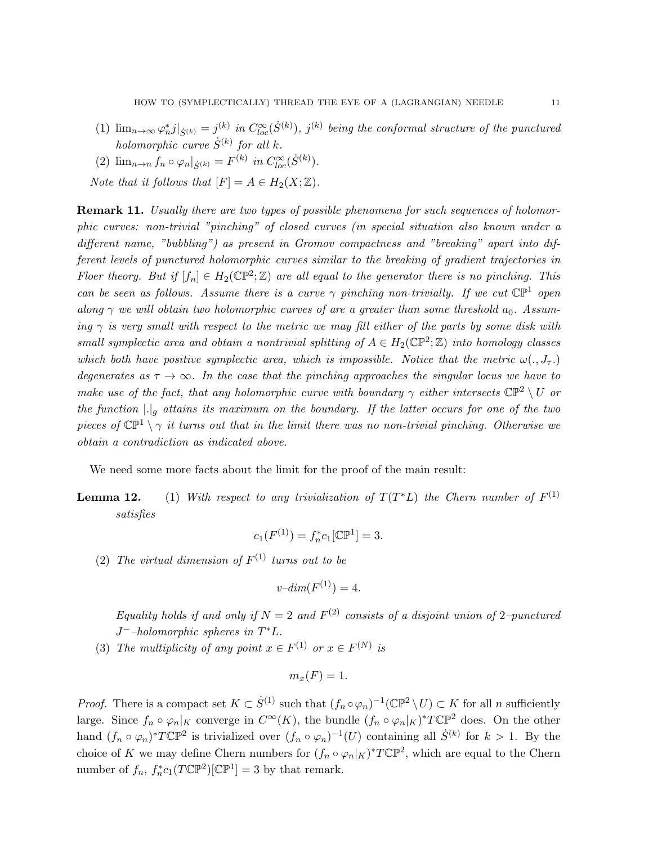- (1)  $\lim_{n\to\infty}\varphi_n^*j|_{\dot{S}^{(k)}}=j^{(k)}$  in  $C_{loc}^{\infty}(\dot{S}^{(k)})$ ,  $j^{(k)}$  being the conformal structure of the punctured holomorphic curve  $\dot{S}^{(k)}$  for all k.
- (2)  $\lim_{n \to n} f_n \circ \varphi_n |_{\dot{S}^{(k)}} = F^{(k)}$  in  $C^{\infty}_{loc}(\dot{S}^{(k)})$ .
- Note that it follows that  $[F] = A \in H_2(X; \mathbb{Z}).$

**Remark 11.** Usually there are two types of possible phenomena for such sequences of holomorphic curves: non-trivial "pinching" of closed curves (in special situation also known under a different name, "bubbling") as present in Gromov compactness and "breaking" apart into different levels of punctured holomorphic curves similar to the breaking of gradient trajectories in Floer theory. But if  $[f_n] \in H_2(\mathbb{CP}^2; \mathbb{Z})$  are all equal to the generator there is no pinching. This can be seen as follows. Assume there is a curve  $\gamma$  pinching non-trivially. If we cut  $\mathbb{CP}^1$  open along  $\gamma$  we will obtain two holomorphic curves of are a greater than some threshold  $a_0$ . Assuming  $\gamma$  is very small with respect to the metric we may fill either of the parts by some disk with small symplectic area and obtain a nontrivial splitting of  $A \in H_2(\mathbb{CP}^2; \mathbb{Z})$  into homology classes which both have positive symplectic area, which is impossible. Notice that the metric  $\omega(., J_{\tau}.)$ degenerates as  $\tau \to \infty$ . In the case that the pinching approaches the singular locus we have to make use of the fact, that any holomorphic curve with boundary  $\gamma$  either intersects  $\mathbb{CP}^2 \setminus U$  or the function  $|.|_g$  attains its maximum on the boundary. If the latter occurs for one of the two pieces of  $\mathbb{CP}^1 \setminus \gamma$  it turns out that in the limit there was no non-trivial pinching. Otherwise we obtain a contradiction as indicated above.

We need some more facts about the limit for the proof of the main result:

<span id="page-10-0"></span>**Lemma 12.** (1) With respect to any trivialization of  $T(T^*L)$  the Chern number of  $F^{(1)}$ satisfies

$$
c_1(F^{(1)}) = f_n^* c_1 [\mathbb{CP}^1] = 3.
$$

(2) The virtual dimension of  $F^{(1)}$  turns out to be

$$
v\text{-}dim(F^{(1)}) = 4.
$$

Equality holds if and only if  $N=2$  and  $F^{(2)}$  consists of a disjoint union of 2-punctured  $J^-$ -holomorphic spheres in  $T^*L$ .

(3) The multiplicity of any point  $x \in F^{(1)}$  or  $x \in F^{(N)}$  is

$$
m_x(F) = 1.
$$

*Proof.* There is a compact set  $K \subset \dot{S}^{(1)}$  such that  $(f_n \circ \varphi_n)^{-1}(\mathbb{CP}^2 \setminus U) \subset K$  for all n sufficiently large. Since  $f_n \circ \varphi_n|_K$  converge in  $C^{\infty}(K)$ , the bundle  $(f_n \circ \varphi_n|_K)^*T\mathbb{CP}^2$  does. On the other hand  $(f_n \circ \varphi_n)^* T \mathbb{CP}^2$  is trivialized over  $(f_n \circ \varphi_n)^{-1}(U)$  containing all  $\dot{S}^{(k)}$  for  $k > 1$ . By the choice of K we may define Chern numbers for  $(f_n \circ \varphi_n|_K)^* T \mathbb{CP}^2$ , which are equal to the Chern number of  $f_n$ ,  $f_n^* c_1(T\mathbb{CP}^2)[\mathbb{CP}^1] = 3$  by that remark.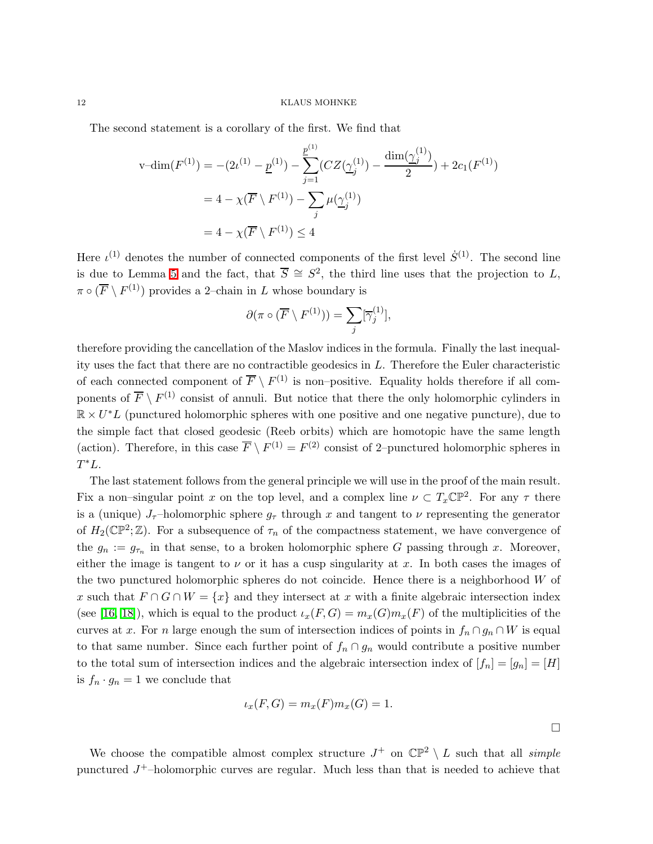The second statement is a corollary of the first. We find that

$$
\begin{aligned} \mathbf{v} - \dim(F^{(1)}) &= -(2\iota^{(1)} - \underline{p}^{(1)}) - \sum_{j=1}^{\underline{p}^{(1)}} (CZ(\underline{\gamma}_j^{(1)}) - \frac{\dim(\underline{\gamma}_j^{(1)})}{2}) + 2c_1(F^{(1)}) \\ &= 4 - \chi(\overline{F} \setminus F^{(1)}) - \sum_j \mu(\underline{\gamma}_j^{(1)}) \\ &= 4 - \chi(\overline{F} \setminus F^{(1)}) \le 4 \end{aligned}
$$

Here  $\iota^{(1)}$  denotes the number of connected components of the first level  $\dot{S}^{(1)}$ . The second line is due to Lemma [5](#page-5-0) and the fact, that  $\overline{S} \cong S^2$ , the third line uses that the projection to L,  $\pi \circ (\overline{F} \setminus F^{(1)})$  provides a 2-chain in L whose boundary is

$$
\partial(\pi\circ(\overline{F}\setminus F^{(1)}))=\sum_j[\overline{\gamma}_j^{(1)}],
$$

therefore providing the cancellation of the Maslov indices in the formula. Finally the last inequality uses the fact that there are no contractible geodesics in  $L$ . Therefore the Euler characteristic of each connected component of  $\overline{F} \setminus F^{(1)}$  is non-positive. Equality holds therefore if all components of  $\overline{F} \setminus F^{(1)}$  consist of annuli. But notice that there the only holomorphic cylinders in  $\mathbb{R} \times U^*L$  (punctured holomorphic spheres with one positive and one negative puncture), due to the simple fact that closed geodesic (Reeb orbits) which are homotopic have the same length (action). Therefore, in this case  $\overline{F} \setminus F^{(1)} = F^{(2)}$  consist of 2-punctured holomorphic spheres in  $T^*L$ .

The last statement follows from the general principle we will use in the proof of the main result. Fix a non–singular point x on the top level, and a complex line  $\nu \subset T_x\mathbb{CP}^2$ . For any  $\tau$  there is a (unique)  $J_{\tau}$ -holomorphic sphere  $g_{\tau}$  through x and tangent to v representing the generator of  $H_2(\mathbb{CP}^2;\mathbb{Z})$ . For a subsequence of  $\tau_n$  of the compactness statement, we have convergence of the  $g_n := g_{\tau_n}$  in that sense, to a broken holomorphic sphere G passing through x. Moreover, either the image is tangent to  $\nu$  or it has a cusp singularity at x. In both cases the images of the two punctured holomorphic spheres do not coincide. Hence there is a neighborhood W of x such that  $F \cap G \cap W = \{x\}$  and they intersect at x with a finite algebraic intersection index (see [\[16,](#page-14-9) 18]), which is equal to the product  $\iota_x(F, G) = m_x(G)m_x(F)$  of the multiplicities of the curves at x. For n large enough the sum of intersection indices of points in  $f_n \cap g_n \cap W$  is equal to that same number. Since each further point of  $f_n \cap g_n$  would contribute a positive number to the total sum of intersection indices and the algebraic intersection index of  $[f_n] = [g_n] = [H]$ is  $f_n \cdot g_n = 1$  we conclude that

$$
\iota_x(F,G) = m_x(F)m_x(G) = 1.
$$

We choose the compatible almost complex structure  $J^+$  on  $\mathbb{CP}^2 \setminus L$  such that all simple punctured  $J^+$ -holomorphic curves are regular. Much less than that is needed to achieve that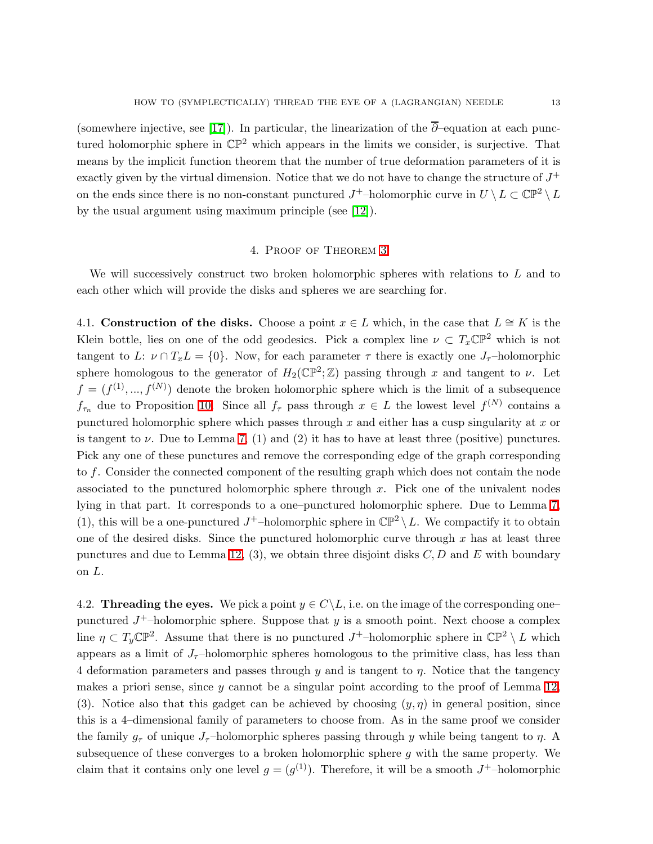(somewhere injective, see [17]). In particular, the linearization of the  $\overline{\partial}$ –equation at each punctured holomorphic sphere in  $\mathbb{CP}^2$  which appears in the limits we consider, is surjective. That means by the implicit function theorem that the number of true deformation parameters of it is exactly given by the virtual dimension. Notice that we do not have to change the structure of  $J^+$ on the ends since there is no non-constant punctured  $J^+$ -holomorphic curve in  $U \setminus L \subset \mathbb{CP}^2 \setminus L$ by the usual argument using maximum principle (see [\[12\]](#page-14-10)).

### 4. Proof of Theorem [3](#page-1-0)

We will successively construct two broken holomorphic spheres with relations to L and to each other which will provide the disks and spheres we are searching for.

4.1. Construction of the disks. Choose a point  $x \in L$  which, in the case that  $L \cong K$  is the Klein bottle, lies on one of the odd geodesics. Pick a complex line  $\nu \subset T_x\mathbb{CP}^2$  which is not tangent to L:  $\nu \cap T_xL = \{0\}$ . Now, for each parameter  $\tau$  there is exactly one  $J_{\tau}$ -holomorphic sphere homologous to the generator of  $H_2(\mathbb{CP}^2;\mathbb{Z})$  passing through x and tangent to v. Let  $f = (f^{(1)},...,f^{(N)})$  denote the broken holomorphic sphere which is the limit of a subsequence  $f_{\tau_n}$  due to Proposition [10.](#page-9-0) Since all  $f_{\tau}$  pass through  $x \in L$  the lowest level  $f^{(N)}$  contains a punctured holomorphic sphere which passes through  $x$  and either has a cusp singularity at  $x$  or is tangent to  $\nu$ . Due to Lemma [7,](#page-6-0) (1) and (2) it has to have at least three (positive) punctures. Pick any one of these punctures and remove the corresponding edge of the graph corresponding to f. Consider the connected component of the resulting graph which does not contain the node associated to the punctured holomorphic sphere through  $x$ . Pick one of the univalent nodes lying in that part. It corresponds to a one–punctured holomorphic sphere. Due to Lemma [7,](#page-6-0) (1), this will be a one-punctured  $J^+$ -holomorphic sphere in  $\mathbb{CP}^2 \setminus L$ . We compactify it to obtain one of the desired disks. Since the punctured holomorphic curve through  $x$  has at least three punctures and due to Lemma [12,](#page-10-0) (3), we obtain three disjoint disks  $C, D$  and E with boundary on L.

4.2. Threading the eyes. We pick a point  $y \in C \backslash L$ , i.e. on the image of the corresponding one– punctured  $J^+$ -holomorphic sphere. Suppose that y is a smooth point. Next choose a complex line  $\eta \subset T_y \mathbb{CP}^2$ . Assume that there is no punctured  $J^+$ -holomorphic sphere in  $\mathbb{CP}^2 \setminus L$  which appears as a limit of  $J<sub>\tau</sub>$ -holomorphic spheres homologous to the primitive class, has less than 4 deformation parameters and passes through y and is tangent to  $\eta$ . Notice that the tangency makes a priori sense, since  $y$  cannot be a singular point according to the proof of Lemma [12,](#page-10-0) (3). Notice also that this gadget can be achieved by choosing  $(y, \eta)$  in general position, since this is a 4–dimensional family of parameters to choose from. As in the same proof we consider the family  $g_{\tau}$  of unique  $J_{\tau}$ -holomorphic spheres passing through y while being tangent to  $\eta$ . A subsequence of these converges to a broken holomorphic sphere g with the same property. We claim that it contains only one level  $g = (g^{(1)})$ . Therefore, it will be a smooth  $J^+$ -holomorphic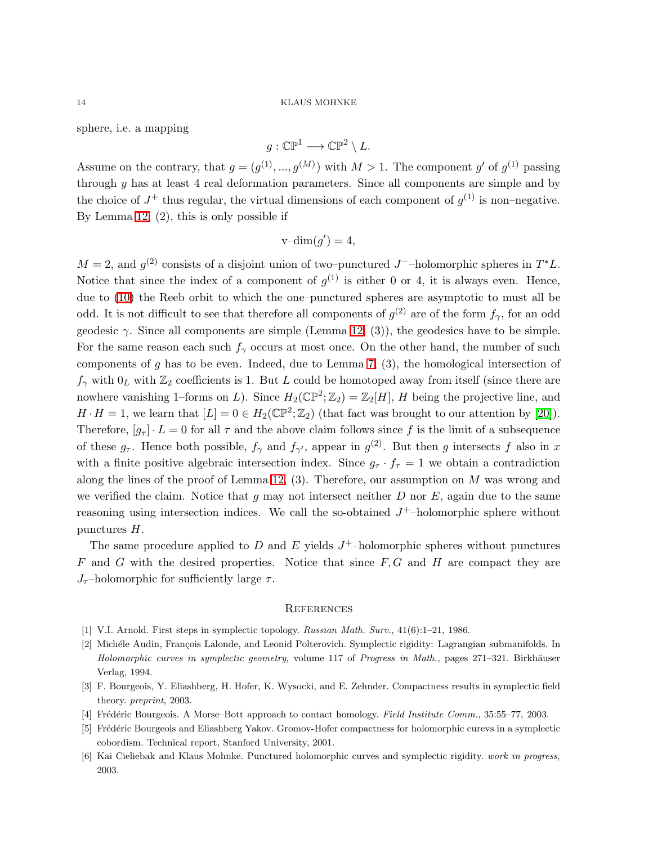sphere, i.e. a mapping

$$
g:\mathbb{CP}^1\longrightarrow \mathbb{CP}^2\setminus L.
$$

Assume on the contrary, that  $g = (g^{(1)}, ..., g^{(M)})$  with  $M > 1$ . The component g' of  $g^{(1)}$  passing through  $y$  has at least 4 real deformation parameters. Since all components are simple and by the choice of  $J^+$  thus regular, the virtual dimensions of each component of  $g^{(1)}$  is non-negative. By Lemma [12,](#page-10-0) (2), this is only possible if

$$
\mathrm{v}\text{-dim}(g')=4,
$$

 $M = 2$ , and  $g^{(2)}$  consists of a disjoint union of two–punctured J<sup>-</sup>–holomorphic spheres in  $T^*L$ . Notice that since the index of a component of  $g^{(1)}$  is either 0 or 4, it is always even. Hence, due to [\(10\)](#page-8-0) the Reeb orbit to which the one–punctured spheres are asymptotic to must all be odd. It is not difficult to see that therefore all components of  $g^{(2)}$  are of the form  $f_{\gamma}$ , for an odd geodesic  $\gamma$ . Since all components are simple (Lemma [12,](#page-10-0) (3)), the geodesics have to be simple. For the same reason each such  $f_{\gamma}$  occurs at most once. On the other hand, the number of such components of g has to be even. Indeed, due to Lemma [7,](#page-6-0)  $(3)$ , the homological intersection of  $f_{\gamma}$  with  $0_L$  with  $\mathbb{Z}_2$  coefficients is 1. But L could be homotoped away from itself (since there are nowhere vanishing 1–forms on L). Since  $H_2(\mathbb{CP}^2; \mathbb{Z}_2) = \mathbb{Z}_2[H]$ , H being the projective line, and  $H \cdot H = 1$ , we learn that  $[L] = 0 \in H_2(\mathbb{CP}^2; \mathbb{Z}_2)$  (that fact was brought to our attention by [\[20\]](#page-14-7)). Therefore,  $[g_{\tau}] \cdot L = 0$  for all  $\tau$  and the above claim follows since f is the limit of a subsequence of these  $g_{\tau}$ . Hence both possible,  $f_{\gamma}$  and  $f_{\gamma'}$ , appear in  $g^{(2)}$ . But then g intersects f also in x with a finite positive algebraic intersection index. Since  $g_{\tau} \cdot f_{\tau} = 1$  we obtain a contradiction along the lines of the proof of Lemma [12,](#page-10-0)  $(3)$ . Therefore, our assumption on M was wrong and we verified the claim. Notice that  $g$  may not intersect neither  $D$  nor  $E$ , again due to the same reasoning using intersection indices. We call the so-obtained  $J^+$ -holomorphic sphere without punctures H.

The same procedure applied to  $D$  and  $E$  yields  $J^+$ -holomorphic spheres without punctures  $F$  and  $G$  with the desired properties. Notice that since  $F, G$  and  $H$  are compact they are  $J_{\tau}$ -holomorphic for sufficiently large  $\tau$ .

#### **REFERENCES**

- <span id="page-13-0"></span>[1] V.I. Arnold. First steps in symplectic topology. Russian Math. Surv., 41(6):1–21, 1986.
- [2] Michéle Audin, François Lalonde, and Leonid Polterovich. Symplectic rigidity: Lagrangian submanifolds. In Holomorphic curves in symplectic geometry, volume 117 of Progress in Math., pages 271–321. Birkhäuser Verlag, 1994.
- <span id="page-13-2"></span><span id="page-13-1"></span>[3] F. Bourgeois, Y. Eliashberg, H. Hofer, K. Wysocki, and E. Zehnder. Compactness results in symplectic field theory. preprint, 2003.
- [4] Frédéric Bourgeois. A Morse–Bott approach to contact homology. Field Institute Comm., 35:55–77, 2003.
- [5] Frédéric Bourgeois and Eliashberg Yakov. Gromov-Hofer compactness for holomorphic curevs in a symplectic cobordism. Technical report, Stanford University, 2001.
- [6] Kai Cieliebak and Klaus Mohnke. Punctured holomorphic curves and symplectic rigidity. work in progress, 2003.